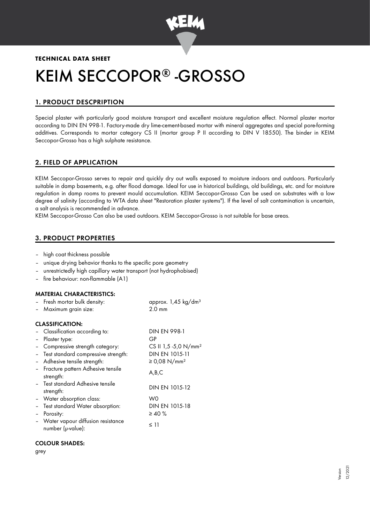

# **TECHNICAL DATA SHEET** KEIM SECCOPOR® -GROSSO

# 1. PRODUCT DESCPRIPTION

Special plaster with particularly good moisture transport and excellent moisture regulation effect. Normal plaster mortar according to DIN EN 998-1. Factory-made dry lime-cement-based mortar with mineral aggregates and special pore-forming additives. Corresponds to mortar category CS II (mortar group P II according to DIN V 18550). The binder in KEIM Seccopor-Grosso has a high sulphate resistance.

# 2. FIELD OF APPLICATION

KEIM Seccopor-Grosso serves to repair and quickly dry out walls exposed to moisture indoors and outdoors. Particularly suitable in damp basements, e.g. after flood damage. Ideal for use in historical buildings, old buildings, etc. and for moisture regulation in damp rooms to prevent mould accumulation. KEIM Seccopor-Grosso Can be used on substrates with a low degree of salinity (according to WTA data sheet "Restoration plaster systems"). If the level of salt contamination is uncertain, a salt analysis is recommended in advance.

KEIM Seccopor-Grosso Can also be used outdoors. KEIM Seccopor-Grosso is not suitable for base areas.

# 3. PRODUCT PROPERTIES

- high coat thickness possible
- unique drying behavior thanks to the specific pore geometry
- unrestrictedly high capillary water transport (not hydrophobised)
- fire behaviour: non-flammable (A1)

#### MATERIAL CHARACTERISTICS:

|                        | - Fresh mortar bulk density:<br>- Maximum grain size:  | approx. 1,45 kg/dm <sup>3</sup><br>$2.0 \text{ mm}$ |  |  |
|------------------------|--------------------------------------------------------|-----------------------------------------------------|--|--|
| <b>CLASSIFICATION:</b> |                                                        |                                                     |  |  |
|                        | Classification according to:                           | DIN EN 998-1                                        |  |  |
|                        | Plaster type:                                          | GP                                                  |  |  |
|                        | Compressive strength category:                         | CS II 1,5 -5,0 N/mm <sup>2</sup>                    |  |  |
|                        | Test standard compressive strength:                    | DIN EN 1015-11                                      |  |  |
|                        | Adhesive tensile strength:                             | ≥ 0,08 N/mm <sup>2</sup>                            |  |  |
|                        | Fracture pattern Adhesive tensile<br>strength:         | A,B,C                                               |  |  |
|                        | - Test standard Adhesive tensile<br>strength:          | DIN EN 1015-12                                      |  |  |
|                        | - Water absorption class:                              | W0                                                  |  |  |
|                        | Test standard Water absorption:                        | DIN EN 1015-18                                      |  |  |
|                        | Porosity:                                              | $\geq 40 \%$                                        |  |  |
|                        | Water vapour diffusion resistance<br>number (µ-value): | $\leq$ 11                                           |  |  |

#### COLOUR SHADES:

grey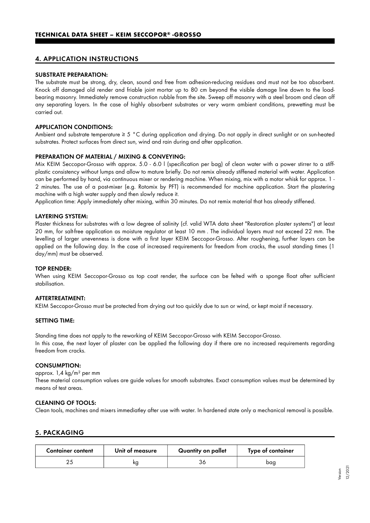### 4. APPLICATION INSTRUCTIONS

#### SUBSTRATE PREPARATION:

The substrate must be strong, dry, clean, sound and free from adhesion-reducing residues and must not be too absorbent. Knock off damaged old render and friable joint mortar up to 80 cm beyond the visible damage line down to the loadbearing masonry. Immediately remove construction rubble from the site. Sweep off masonry with a steel broom and clean off any separating layers. In the case of highly absorbent substrates or very warm ambient conditions, prewetting must be carried out.

#### APPLICATION CONDITIONS:

Ambient and substrate temperature ≥ 5 °C during application and drying. Do not apply in direct sunlight or on sun-heated substrates. Protect surfaces from direct sun, wind and rain during and after application.

#### PREPARATION OF MATERIAL / MIXING & CONVEYING:

Mix KEIM Seccopor-Grosso with approx. 5.0 - 6.0 l (specification per bag) of clean water with a power stirrer to a stiffplastic consistency without lumps and allow to mature briefly. Do not remix already stiffened material with water. Application can be performed by hand, via continuous mixer or rendering machine. When mixing, mix with a motor whisk for approx. 1 - 2 minutes. The use of a post-mixer (e.g. Rotomix by PFT) is recommended for machine application. Start the plastering machine with a high water supply and then slowly reduce it.

Application time: Apply immediately after mixing, within 30 minutes. Do not remix material that has already stiffened.

#### LAYERING SYSTEM:

Plaster thickness for substrates with a low degree of salinity (cf. valid WTA data sheet "Restoration plaster systems") at least 20 mm, for salt-free application as moisture regulator at least 10 mm . The individual layers must not exceed 22 mm. The levelling of larger unevenness is done with a first layer KEIM Seccopor-Grosso. After roughening, further layers can be applied on the following day. In the case of increased requirements for freedom from cracks, the usual standing times (1 day/mm) must be observed.

#### TOP RENDER:

When using KEIM Seccopor-Grosso as top coat render, the surface can be felted with a sponge float after sufficient stabilisation.

#### AFTERTREATMENT:

KEIM Seccopor-Grosso must be protected from drying out too quickly due to sun or wind, or kept moist if necessary.

#### SETTING TIME:

Standing time does not apply to the reworking of KEIM Seccopor-Grosso with KEIM Seccopor-Grosso. In this case, the next layer of plaster can be applied the following day if there are no increased requirements regarding freedom from cracks.

#### CONSUMPTION:

#### approx. 1,4 kg/m² per mm

These material consumption values are guide values for smooth substrates. Exact consumption values must be determined by means of test areas.

#### CLEANING OF TOOLS:

Clean tools, machines and mixers immediatley after use with water. In hardened state only a mechanical removal is possible.

#### 5. PACKAGING

| <b>Container content</b> | Unit of measure | Quantity on pallet | Type of container |
|--------------------------|-----------------|--------------------|-------------------|
|                          | кg              |                    | bag               |